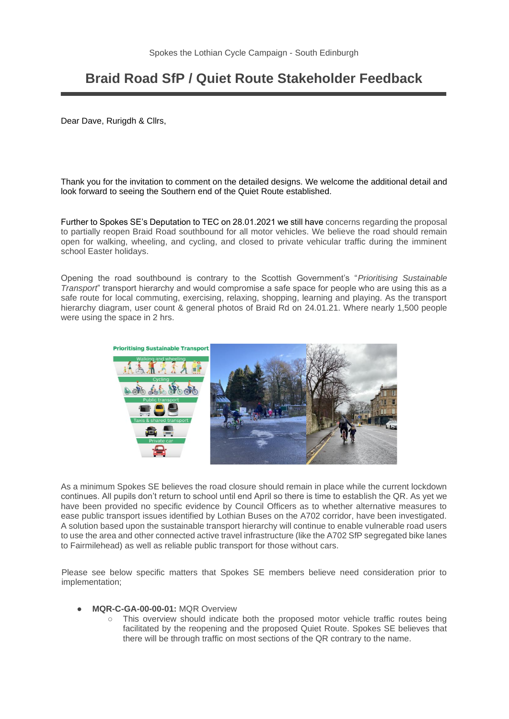## **Braid Road SfP / Quiet Route Stakeholder Feedback**

Dear Dave, Rurigdh & Cllrs,

Thank you for the invitation to comment on the detailed designs. We welcome the additional detail and look forward to seeing the Southern end of the Quiet Route established.

Further to Spokes SE's Deputation to TEC on 28.01.2021 we still have concerns regarding the proposal to partially reopen Braid Road southbound for all motor vehicles. We believe the road should remain open for walking, wheeling, and cycling, and closed to private vehicular traffic during the imminent school Easter holidays.

Opening the road southbound is contrary to the Scottish Government's "*Prioritising Sustainable Transport*" transport hierarchy and would compromise a safe space for people who are using this as a safe route for local commuting, exercising, relaxing, shopping, learning and playing. As the transport hierarchy diagram, user count & general photos of Braid Rd on 24.01.21. Where nearly 1,500 people were using the space in 2 hrs.



As a minimum Spokes SE believes the road closure should remain in place while the current lockdown continues. All pupils don't return to school until end April so there is time to establish the QR. As yet we have been provided no specific evidence by Council Officers as to whether alternative measures to ease public transport issues identified by Lothian Buses on the A702 corridor, have been investigated. A solution based upon the sustainable transport hierarchy will continue to enable vulnerable road users to use the area and other connected active travel infrastructure (like the A702 SfP segregated bike lanes to Fairmilehead) as well as reliable public transport for those without cars.

Please see below specific matters that Spokes SE members believe need consideration prior to implementation;

- **MQR-C-GA-00-00-01:** MQR Overview
	- This overview should indicate both the proposed motor vehicle traffic routes being facilitated by the reopening and the proposed Quiet Route. Spokes SE believes that there will be through traffic on most sections of the QR contrary to the name.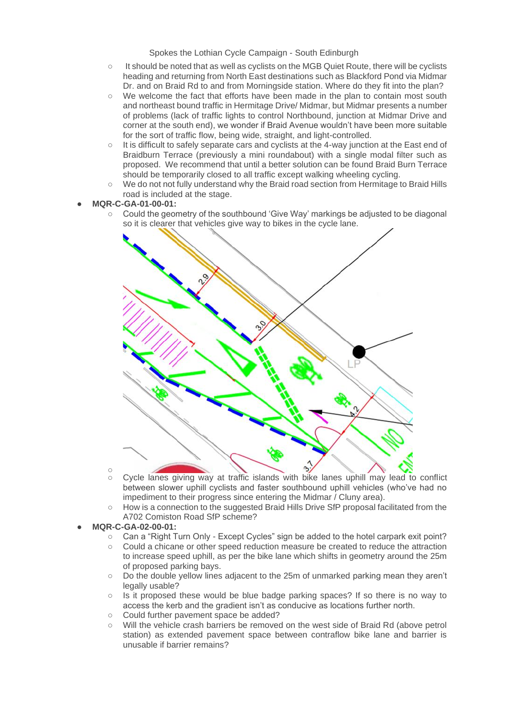- It should be noted that as well as cyclists on the MGB Quiet Route, there will be cyclists heading and returning from North East destinations such as Blackford Pond via Midmar Dr. and on Braid Rd to and from Morningside station. Where do they fit into the plan?
- We welcome the fact that efforts have been made in the plan to contain most south and northeast bound traffic in Hermitage Drive/ Midmar, but Midmar presents a number of problems (lack of traffic lights to control Northbound, junction at Midmar Drive and corner at the south end), we wonder if Braid Avenue wouldn't have been more suitable for the sort of traffic flow, being wide, straight, and light-controlled.
- It is difficult to safely separate cars and cyclists at the 4-way junction at the East end of Braidburn Terrace (previously a mini roundabout) with a single modal filter such as proposed. We recommend that until a better solution can be found Braid Burn Terrace should be temporarily closed to all traffic except walking wheeling cycling.
- We do not not fully understand why the Braid road section from Hermitage to Braid Hills road is included at the stage.

## ● **MQR-C-GA-01-00-01:**

○ Could the geometry of the southbound 'Give Way' markings be adjusted to be diagonal so it is clearer that vehicles give way to bikes in the cycle lane.



- $\circ$ ○ Cycle lanes giving way at traffic islands with bike lanes uphill may lead to conflict between slower uphill cyclists and faster southbound uphill vehicles (who've had no impediment to their progress since entering the Midmar / Cluny area).
- How is a connection to the suggested Braid Hills Drive SfP proposal facilitated from the A702 Comiston Road SfP scheme?
- **MQR-C-GA-02-00-01:**
	- Can a "Right Turn Only Except Cycles" sign be added to the hotel carpark exit point?
	- Could a chicane or other speed reduction measure be created to reduce the attraction to increase speed uphill, as per the bike lane which shifts in geometry around the 25m of proposed parking bays.
	- Do the double yellow lines adjacent to the 25m of unmarked parking mean they aren't legally usable?
	- Is it proposed these would be blue badge parking spaces? If so there is no way to access the kerb and the gradient isn't as conducive as locations further north.
	- Could further pavement space be added?
	- Will the vehicle crash barriers be removed on the west side of Braid Rd (above petrol station) as extended pavement space between contraflow bike lane and barrier is unusable if barrier remains?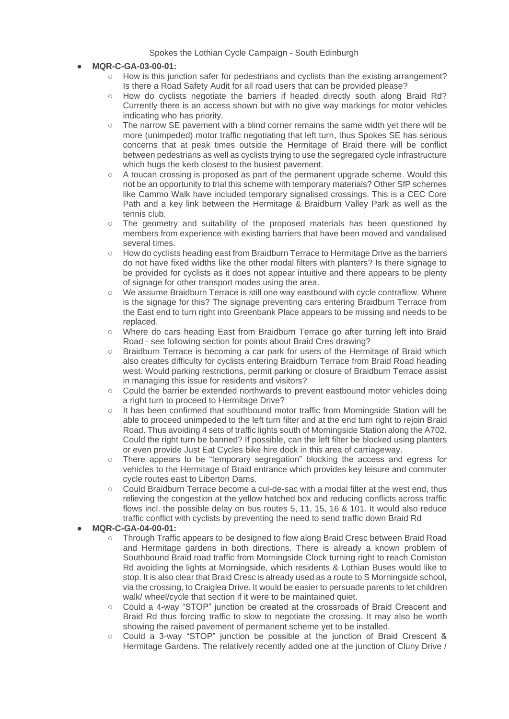- **MQR-C-GA-03-00-01:**
	- How is this junction safer for pedestrians and cyclists than the existing arrangement? Is there a Road Safety Audit for all road users that can be provided please?
	- How do cyclists negotiate the barriers if headed directly south along Braid Rd? Currently there is an access shown but with no give way markings for motor vehicles indicating who has priority.
	- The narrow SE pavement with a blind corner remains the same width yet there will be more (unimpeded) motor traffic negotiating that left turn, thus Spokes SE has serious concerns that at peak times outside the Hermitage of Braid there will be conflict between pedestrians as well as cyclists trying to use the segregated cycle infrastructure which hugs the kerb closest to the busiest pavement.
	- A toucan crossing is proposed as part of the permanent upgrade scheme. Would this not be an opportunity to trial this scheme with temporary materials? Other SfP schemes like Cammo Walk have included temporary signalised crossings. This is a CEC Core Path and a key link between the Hermitage & Braidburn Valley Park as well as the tennis club.
	- The geometry and suitability of the proposed materials has been questioned by members from experience with existing barriers that have been moved and vandalised several times.
	- How do cyclists heading east from Braidburn Terrace to Hermitage Drive as the barriers do not have fixed widths like the other modal filters with planters? Is there signage to be provided for cyclists as it does not appear intuitive and there appears to be plenty of signage for other transport modes using the area.
	- We assume Braidburn Terrace is still one way eastbound with cycle contraflow. Where is the signage for this? The signage preventing cars entering Braidburn Terrace from the East end to turn right into Greenbank Place appears to be missing and needs to be replaced.
	- Where do cars heading East from Braidburn Terrace go after turning left into Braid Road - see following section for points about Braid Cres drawing?
	- Braidburn Terrace is becoming a car park for users of the Hermitage of Braid which also creates difficulty for cyclists entering Braidburn Terrace from Braid Road heading west. Would parking restrictions, permit parking or closure of Braidburn Terrace assist in managing this issue for residents and visitors?
	- Could the barrier be extended northwards to prevent eastbound motor vehicles doing a right turn to proceed to Hermitage Drive?
	- It has been confirmed that southbound motor traffic from Morningside Station will be able to proceed unimpeded to the left turn filter and at the end turn right to rejoin Braid Road. Thus avoiding 4 sets of traffic lights south of Morningside Station along the A702. Could the right turn be banned? If possible, can the left filter be blocked using planters or even provide Just Eat Cycles bike hire dock in this area of carriageway.
	- There appears to be "temporary segregation" blocking the access and egress for vehicles to the Hermitage of Braid entrance which provides key leisure and commuter cycle routes east to Liberton Dams.
	- Could Braidburn Terrace become a cul-de-sac with a modal filter at the west end, thus relieving the congestion at the yellow hatched box and reducing conflicts across traffic flows incl. the possible delay on bus routes 5, 11, 15, 16 & 101. It would also reduce traffic conflict with cyclists by preventing the need to send traffic down Braid Rd
- **MQR-C-GA-04-00-01:**
	- Through Traffic appears to be designed to flow along Braid Cresc between Braid Road and Hermitage gardens in both directions. There is already a known problem of Southbound Braid road traffic from Morningside Clock turning right to reach Comiston Rd avoiding the lights at Morningside, which residents & Lothian Buses would like to stop. It is also clear that Braid Cresc is already used as a route to S Morningside school, via the crossing, to Craiglea Drive. It would be easier to persuade parents to let children walk/ wheel/cycle that section if it were to be maintained quiet.
	- Could a 4-way "STOP" junction be created at the crossroads of Braid Crescent and Braid Rd thus forcing traffic to slow to negotiate the crossing. It may also be worth showing the raised pavement of permanent scheme yet to be installed.
	- Could a 3-way "STOP" junction be possible at the junction of Braid Crescent & Hermitage Gardens. The relatively recently added one at the junction of Cluny Drive /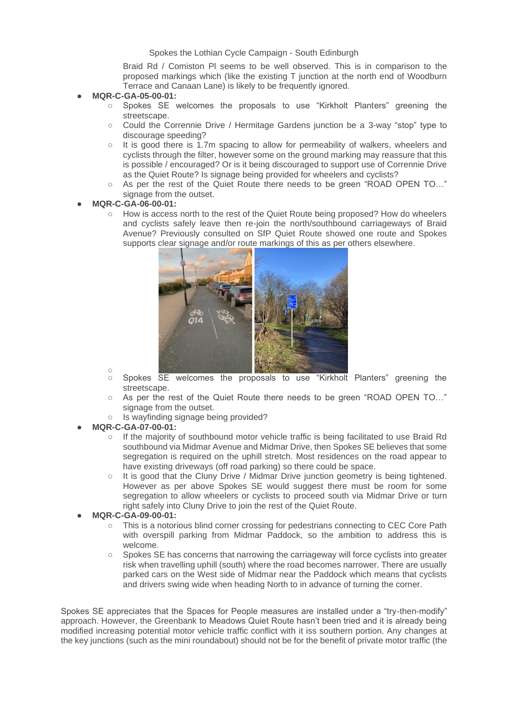Braid Rd / Comiston Pl seems to be well observed. This is in comparison to the proposed markings which (like the existing T junction at the north end of Woodburn Terrace and Canaan Lane) is likely to be frequently ignored.

- **MQR-C-GA-05-00-01:**
	- Spokes SE welcomes the proposals to use "Kirkholt Planters" greening the streetscape.
	- Could the Corrennie Drive / Hermitage Gardens junction be a 3-way "stop" type to discourage speeding?
	- It is good there is 1.7m spacing to allow for permeability of walkers, wheelers and cyclists through the filter, however some on the ground marking may reassure that this is possible / encouraged? Or is it being discouraged to support use of Corrennie Drive as the Quiet Route? Is signage being provided for wheelers and cyclists?
	- As per the rest of the Quiet Route there needs to be green "ROAD OPEN TO..." signage from the outset.
- **MQR-C-GA-06-00-01:**
	- How is access north to the rest of the Quiet Route being proposed? How do wheelers and cyclists safely leave then re-join the north/southbound carriageways of Braid Avenue? Previously consulted on SfP Quiet Route showed one route and Spokes supports clear signage and/or route markings of this as per others elsewhere.



- Spokes SE welcomes the proposals to use "Kirkholt Planters" greening the streetscape.
- As per the rest of the Quiet Route there needs to be green "ROAD OPEN TO..." signage from the outset.
- Is wayfinding signage being provided?
- **MQR-C-GA-07-00-01:**
	- If the majority of southbound motor vehicle traffic is being facilitated to use Braid Rd southbound via Midmar Avenue and Midmar Drive, then Spokes SE believes that some segregation is required on the uphill stretch. Most residences on the road appear to have existing driveways (off road parking) so there could be space.
	- It is good that the Cluny Drive / Midmar Drive junction geometry is being tightened. However as per above Spokes SE would suggest there must be room for some segregation to allow wheelers or cyclists to proceed south via Midmar Drive or turn right safely into Cluny Drive to join the rest of the Quiet Route.
- **MQR-C-GA-09-00-01:**
	- This is a notorious blind corner crossing for pedestrians connecting to CEC Core Path with overspill parking from Midmar Paddock, so the ambition to address this is welcome.
	- Spokes SE has concerns that narrowing the carriageway will force cyclists into greater risk when travelling uphill (south) where the road becomes narrower. There are usually parked cars on the West side of Midmar near the Paddock which means that cyclists and drivers swing wide when heading North to in advance of turning the corner.

Spokes SE appreciates that the Spaces for People measures are installed under a "try-then-modify" approach. However, the Greenbank to Meadows Quiet Route hasn't been tried and it is already being modified increasing potential motor vehicle traffic conflict with it iss southern portion. Any changes at the key junctions (such as the mini roundabout) should not be for the benefit of private motor traffic (the